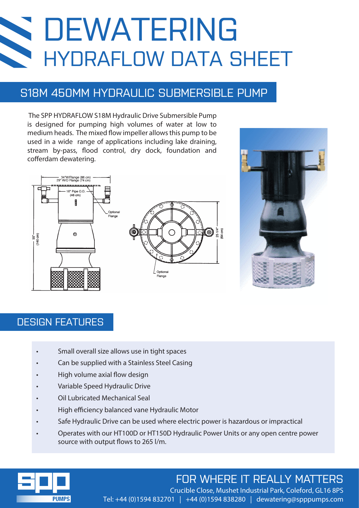# DEWATERING HYDRAFLOW DATA SHEET

## S18M 450MM HYDRAULIC SUBMERSIBLE PUMP

 The SPP HYDRAFLOW S18M Hydraulic Drive Submersible Pump is designed for pumping high volumes of water at low to medium heads. The mixed flow impeller allows this pump to be used in a wide range of applications including lake draining, stream by-pass, flood control, dry dock, foundation and cofferdam dewatering.





### DESIGN FEATURES

- Small overall size allows use in tight spaces
- Can be supplied with a Stainless Steel Casing
- High volume axial flow design
- Variable Speed Hydraulic Drive
- Oil Lubricated Mechanical Seal
- High efficiency balanced vane Hydraulic Motor
- Safe Hydraulic Drive can be used where electric power is hazardous or impractical
- Operates with our HT100D or HT150D Hydraulic Power Units or any open centre power source with output flows to 265 l/m.



# FOR WHERE IT REALLY MATTERS

Crucible Close, Mushet Industrial Park, Coleford, GL16 8PS Tel: +44 (0)1594 832701 | +44 (0)1594 838280 | dewatering@spppumps.com